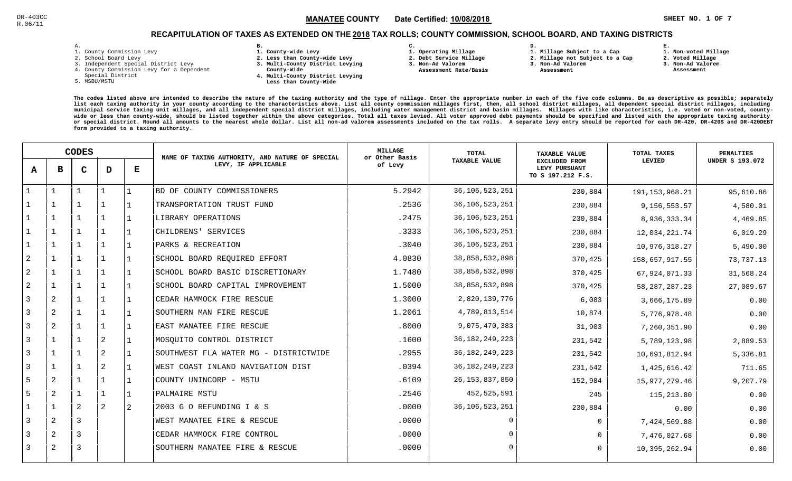**1. Non-voted Millage**

## RECAPITULATION OF TAXES AS EXTENDED ON THE <u>2018</u> TAX ROLLS; COUNTY COMMISSION, SCHOOL BOARD, AND TAXING DISTRICTS

| – | ٠ |  |  |
|---|---|--|--|

- 1. County Commission Levy
- 2. School Board Levy
- 3. Independent Special District Levy
- 4. County Commission Levy for a Dependent
- Special District
- 5. MSBU/MSTU
- **B. 1. County-wide Levy**
- **2. Less than County-wide Levy**
- **3. Multi-County District Levying**
- **County-Wide** 
	- **4. Multi-County District Levying Less than County-Wide**
- **C.**
- **1. Operating Millage**
- **2. Debt Service Millage 3. Non-Ad Valorem**
- **Assessment Rate/Basis**
- **2. Millage not Subject to a Cap3. Non-Ad Valorem**

**D.** 

 **Assessment** 

**1. Millage Subject to a Cap**

**2. Voted Millage**

**E.**

- **3. Non-Ad Valorem Assessment**
- 

|                | <b>CODES</b>   |                |                | NAME OF TAXING AUTHORITY, AND NATURE OF SPECIAL | MILLAGE<br>or Other Basis             | <b>TOTAL</b> | <b>TAXABLE VALUE</b> | TOTAL TAXES                                                | <b>PENALTIES</b>  |                        |
|----------------|----------------|----------------|----------------|-------------------------------------------------|---------------------------------------|--------------|----------------------|------------------------------------------------------------|-------------------|------------------------|
| $\mathbf{A}$   | в              | $\mathbf C$    | D              | Е                                               | LEVY, IF APPLICABLE                   | of Levy      | <b>TAXABLE VALUE</b> | <b>EXCLUDED FROM</b><br>LEVY PURSUANT<br>TO S 197.212 F.S. | LEVIED            | <b>UNDER S 193.072</b> |
|                |                |                |                |                                                 | BD OF COUNTY COMMISSIONERS            | 5.2942       | 36, 106, 523, 251    | 230,884                                                    | 191, 153, 968. 21 | 95,610.86              |
|                |                |                |                |                                                 | TRANSPORTATION TRUST FUND             | .2536        | 36, 106, 523, 251    | 230,884                                                    | 9,156,553.57      | 4,580.01               |
|                | $\mathbf{1}$   |                | $\mathbf{1}$   |                                                 | LIBRARY OPERATIONS                    | .2475        | 36, 106, 523, 251    | 230,884                                                    | 8,936,333.34      | 4,469.85               |
|                | $\mathbf 1$    |                | $\mathbf{1}$   |                                                 | CHILDRENS' SERVICES                   | .3333        | 36, 106, 523, 251    | 230,884                                                    | 12,034,221.74     | 6,019.29               |
|                | $\mathbf{1}$   |                | $\mathbf{1}$   |                                                 | PARKS & RECREATION                    | .3040        | 36, 106, 523, 251    | 230,884                                                    | 10,976,318.27     | 5,490.00               |
| $\overline{2}$ | $\mathbf 1$    |                | 1              |                                                 | SCHOOL BOARD REQUIRED EFFORT          | 4.0830       | 38,858,532,898       | 370,425                                                    | 158,657,917.55    | 73,737.13              |
| $\overline{a}$ |                |                |                |                                                 | SCHOOL BOARD BASIC DISCRETIONARY      | 1.7480       | 38,858,532,898       | 370,425                                                    | 67,924,071.33     | 31,568.24              |
| 2              |                |                |                |                                                 | SCHOOL BOARD CAPITAL IMPROVEMENT      | 1.5000       | 38,858,532,898       | 370,425                                                    | 58, 287, 287. 23  | 27,089.67              |
| $\overline{3}$ | $\overline{a}$ |                |                |                                                 | CEDAR HAMMOCK FIRE RESCUE             | 1.3000       | 2,820,139,776        | 6,083                                                      | 3,666,175.89      | 0.00                   |
| 3              | 2              |                | 1              |                                                 | SOUTHERN MAN FIRE RESCUE              | 1.2061       | 4,789,813,514        | 10,874                                                     | 5,776,978.48      | 0.00                   |
| 3              | 2              |                | $\mathbf{1}$   |                                                 | EAST MANATEE FIRE RESCUE              | .8000        | 9,075,470,383        | 31,903                                                     | 7,260,351.90      | 0.00                   |
| 3              | $\mathbf{1}$   |                | $\overline{a}$ |                                                 | MOSQUITO CONTROL DISTRICT             | .1600        | 36, 182, 249, 223    | 231,542                                                    | 5,789,123.98      | 2,889.53               |
| 3              |                |                | $\overline{2}$ |                                                 | SOUTHWEST FLA WATER MG - DISTRICTWIDE | .2955        | 36, 182, 249, 223    | 231,542                                                    | 10,691,812.94     | 5,336.81               |
| 3              | $\mathbf{1}$   |                | 2              |                                                 | WEST COAST INLAND NAVIGATION DIST     | .0394        | 36, 182, 249, 223    | 231,542                                                    | 1,425,616.42      | 711.65                 |
| 5              | 2              |                |                |                                                 | COUNTY UNINCORP - MSTU                | .6109        | 26, 153, 837, 850    | 152,984                                                    | 15,977,279.46     | 9,207.79               |
| 5              | 2              |                | 1              |                                                 | PALMAIRE MSTU                         | .2546        | 452,525,591          | 245                                                        | 115,213.80        | 0.00                   |
|                |                | 2              | 2              | 2                                               | 2003 G O REFUNDING I & S              | .0000        | 36, 106, 523, 251    | 230,884                                                    | 0.00              | 0.00                   |
| 3              | 2              | 3              |                |                                                 | WEST MANATEE FIRE & RESCUE            | .0000        |                      | $\mathbf 0$                                                | 7,424,569.88      | 0.00                   |
| 3              | 2              | $\overline{3}$ |                |                                                 | CEDAR HAMMOCK FIRE CONTROL            | .0000        |                      | $\Omega$                                                   | 7,476,027.68      | 0.00                   |
| 3              | 2              | 3              |                |                                                 | SOUTHERN MANATEE FIRE & RESCUE        | .0000        | ∩                    | $\Omega$                                                   | 10,395,262.94     | 0.00                   |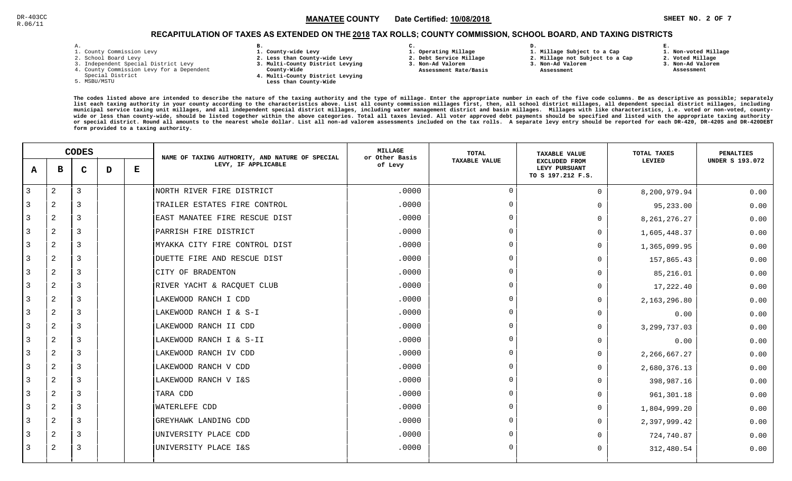# RECAPITULATION OF TAXES AS EXTENDED ON THE <u>2018</u> TAX ROLLS; COUNTY COMMISSION, SCHOOL BOARD, AND TAXING DISTRICTS

| ۰ |  |  |
|---|--|--|

- 1. County Commission Levy
- 2. School Board Levy
- 3. Independent Special District Levy
- 4. County Commission Levy for a Dependent
- Special District
- 5. MSBU/MSTU
- **B. 1. County-wide Levy**
- **2. Less than County-wide Levy**
- **3. Multi-County District Levying**
- **County-Wide** 
	- **4. Multi-County District Levying Less than County-Wide**
- **C.**
- **1. Operating Millage**
- **2. Debt Service Millage 3. Non-Ad Valorem**
- **Assessment Rate/Basis**
- **2. Millage not Subject to a Cap**

**D.** 

**3. Non-Ad Valorem Assessment** 

**1. Millage Subject to a Cap**

- 
- **1. Non-voted Millage**

**E.**

- **2. Voted Millage**
- **3. Non-Ad Valorem**
- **Assessment**

|                | <b>CODES</b>   |             |   | NAME OF TAXING AUTHORITY, AND NATURE OF SPECIAL | <b>MILLAGE</b><br>or Other Basis | TOTAL   | <b>TAXABLE VALUE</b> | TOTAL TAXES                                                | <b>PENALTIES</b> |                        |
|----------------|----------------|-------------|---|-------------------------------------------------|----------------------------------|---------|----------------------|------------------------------------------------------------|------------------|------------------------|
| A              | в              | $\mathbf C$ | D | Е                                               | LEVY, IF APPLICABLE              | of Levy | <b>TAXABLE VALUE</b> | <b>EXCLUDED FROM</b><br>LEVY PURSUANT<br>TO S 197.212 F.S. | LEVIED           | <b>UNDER S 193.072</b> |
| $\overline{3}$ | $\overline{2}$ | 3           |   |                                                 | NORTH RIVER FIRE DISTRICT        | .0000   | $\overline{0}$       | $\Omega$                                                   | 8,200,979.94     | 0.00                   |
| 3              | 2              | 3           |   |                                                 | TRAILER ESTATES FIRE CONTROL     | .0000   | $\Omega$             |                                                            | 95,233.00        | 0.00                   |
| 3              | 2              | 3           |   |                                                 | EAST MANATEE FIRE RESCUE DIST    | .0000   | $\Omega$             |                                                            | 8, 261, 276. 27  | 0.00                   |
| 3              | 2              | 3           |   |                                                 | PARRISH FIRE DISTRICT            | .0000   | $\Omega$             |                                                            | 1,605,448.37     | 0.00                   |
| 3              | 2              | 3           |   |                                                 | MYAKKA CITY FIRE CONTROL DIST    | .0000   | $\Omega$             | O                                                          | 1,365,099.95     | 0.00                   |
| 3              | 2              | 3           |   |                                                 | DUETTE FIRE AND RESCUE DIST      | .0000   | $\Omega$             | U                                                          | 157,865.43       | 0.00                   |
| 3              | 2              | 3           |   |                                                 | CITY OF BRADENTON                | .0000   | $\Omega$             | <sup>n</sup>                                               | 85,216.01        | 0.00                   |
| 3              | 2              | 3           |   |                                                 | RIVER YACHT & RACQUET CLUB       | .0000   | $\Omega$             | $\Omega$                                                   | 17,222.40        | 0.00                   |
| 3              | 2              | 3           |   |                                                 | LAKEWOOD RANCH I CDD             | .0000   | $\Omega$             | 0                                                          | 2,163,296.80     | 0.00                   |
| 3              | 2              | 3           |   |                                                 | LAKEWOOD RANCH I & S-I           | .0000   | $\Omega$             | $\Omega$                                                   | 0.00             | 0.00                   |
| 3              | 2              | 3           |   |                                                 | LAKEWOOD RANCH II CDD            | .0000   | $\Omega$             | $\Omega$                                                   | 3, 299, 737.03   | 0.00                   |
| 3              | 2              | 3           |   |                                                 | LAKEWOOD RANCH I & S-II          | .0000   | $\Omega$             | <sup>n</sup>                                               | 0.00             | 0.00                   |
| 3              | 2              | 3           |   |                                                 | LAKEWOOD RANCH IV CDD            | .0000   | $\Omega$             |                                                            | 2, 266, 667.27   | 0.00                   |
| 3              | 2              | 3           |   |                                                 | LAKEWOOD RANCH V CDD             | .0000   | $\Omega$             | U                                                          | 2,680,376.13     | 0.00                   |
| 3              | 2              | 3           |   |                                                 | LAKEWOOD RANCH V I&S             | .0000   | - വ                  | <sup>n</sup>                                               | 398,987.16       | 0.00                   |
| 3              | 2              | 3           |   |                                                 | TARA CDD                         | .0000   | $\Omega$             | $\Omega$                                                   | 961,301.18       | 0.00                   |
| 3              | 2              | 3           |   |                                                 | <b>WATERLEFE CDD</b>             | .0000   | $\Omega$             | $\Omega$                                                   | 1,804,999.20     | 0.00                   |
| 3              | 2              | 3           |   |                                                 | GREYHAWK LANDING CDD             | .0000   | $\Omega$             | 0                                                          | 2,397,999.42     | 0.00                   |
| 3              | $\overline{a}$ | 3           |   |                                                 | UNIVERSITY PLACE CDD             | .0000   | $\Omega$             |                                                            | 724,740.87       | 0.00                   |
| 3              | 2              | 3           |   |                                                 | UNIVERSITY PLACE I&S             | .0000   | $\Omega$             | O                                                          | 312,480.54       | 0.00                   |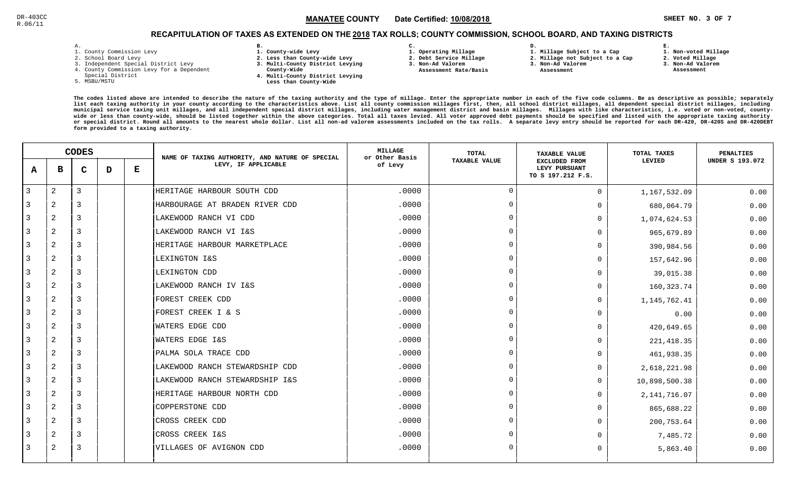**1. Non-voted Millage**

# RECAPITULATION OF TAXES AS EXTENDED ON THE <u>2018</u> TAX ROLLS; COUNTY COMMISSION, SCHOOL BOARD, AND TAXING DISTRICTS

| – | ٠ |  |  |
|---|---|--|--|

- 1. County Commission Levy
- 2. School Board Levy
- 3. Independent Special District Levy
- 4. County Commission Levy for a Dependent
- Special District
- 5. MSBU/MSTU
- **B. 1. County-wide Levy**
- **2. Less than County-wide Levy**
- **3. Multi-County District Levying**
- **County-Wide** 
	- **4. Multi-County District Levying Less than County-Wide**
- **C.**
- **1. Operating Millage**
- **2. Debt Service Millage 3. Non-Ad Valorem**
- **Assessment Rate/Basis**
- **2. Millage not Subject to a Cap3. Non-Ad Valorem**

**D.** 

 **Assessment** 

**1. Millage Subject to a Cap**

**2. Voted Millage3. Non-Ad Valorem**

**E.**

 **Assessment**

|                | <b>CODES</b>   |                |   | NAME OF TAXING AUTHORITY, AND NATURE OF SPECIAL | <b>MILLAGE</b><br>or Other Basis | <b>TOTAL</b> | <b>TAXABLE VALUE</b> | TOTAL TAXES                                                | PENALTIES      |                        |
|----------------|----------------|----------------|---|-------------------------------------------------|----------------------------------|--------------|----------------------|------------------------------------------------------------|----------------|------------------------|
| A              | в              | $\mathbf C$    | D | Е                                               | LEVY, IF APPLICABLE              | of Levy      | <b>TAXABLE VALUE</b> | <b>EXCLUDED FROM</b><br>LEVY PURSUANT<br>TO S 197.212 F.S. | LEVIED         | <b>UNDER S 193.072</b> |
| $\overline{3}$ | $\overline{a}$ | $\overline{3}$ |   |                                                 | HERITAGE HARBOUR SOUTH CDD       | .0000        | $\overline{0}$       | $\mathbf 0$                                                | 1,167,532.09   | 0.00                   |
| -3             | 2              | 3              |   |                                                 | HARBOURAGE AT BRADEN RIVER CDD   | .0000        | $\Omega$             | O                                                          | 680,064.79     | 0.00                   |
| 3              | 2              | 3              |   |                                                 | LAKEWOOD RANCH VI CDD            | .0000        |                      | $\Omega$                                                   | 1,074,624.53   | 0.00                   |
| -3             | $\overline{c}$ | 3              |   |                                                 | LAKEWOOD RANCH VI I&S            | .0000        | $\Omega$             | $\Omega$                                                   | 965,679.89     | 0.00                   |
| 3              | 2              | 3              |   |                                                 | HERITAGE HARBOUR MARKETPLACE     | .0000        |                      | $\Omega$                                                   | 390,984.56     | 0.00                   |
| 3              | 2              | $\overline{3}$ |   |                                                 | LEXINGTON I&S                    | .0000        | $\cap$               | $\Omega$                                                   | 157,642.96     | 0.00                   |
| 3              | 2              | $\overline{3}$ |   |                                                 | LEXINGTON CDD                    | .0000        | $\Omega$             | $\Omega$                                                   | 39,015.38      | 0.00                   |
| 3              | 2              | $\overline{3}$ |   |                                                 | LAKEWOOD RANCH IV I&S            | .0000        | $\cap$               | $\Omega$                                                   | 160, 323.74    | 0.00                   |
| -3             | 2              | 3              |   |                                                 | FOREST CREEK CDD                 | .0000        | $\Omega$             | $\Omega$                                                   | 1, 145, 762.41 | 0.00                   |
| 3              | 2              | 3              |   |                                                 | FOREST CREEK I & S               | .0000        |                      | $\Omega$                                                   | 0.00           | 0.00                   |
| 3              | 2              | 3              |   |                                                 | WATERS EDGE CDD                  | .0000        | $\cap$               | $\Omega$                                                   | 420,649.65     | 0.00                   |
| 3              | 2              | $\overline{3}$ |   |                                                 | WATERS EDGE I&S                  | .0000        | $\Omega$             | $\Omega$                                                   | 221, 418.35    | 0.00                   |
| 3              | $\overline{c}$ | $\overline{3}$ |   |                                                 | PALMA SOLA TRACE CDD             | .0000        | $\Omega$             | $\Omega$                                                   | 461,938.35     | 0.00                   |
| 3              | $\overline{a}$ | $\overline{3}$ |   |                                                 | LAKEWOOD RANCH STEWARDSHIP CDD   | .0000        | $\Omega$             | $\Omega$                                                   | 2,618,221.98   | 0.00                   |
| 3              | 2              | 3              |   |                                                 | LAKEWOOD RANCH STEWARDSHIP I&S   | .0000        |                      | $\Omega$                                                   | 10,898,500.38  | 0.00                   |
| -3             | 2              | 3              |   |                                                 | HERITAGE HARBOUR NORTH CDD       | .0000        | $\cap$               | $\Omega$                                                   | 2, 141, 716.07 | 0.00                   |
| 3              | 2              | 3              |   |                                                 | COPPERSTONE CDD                  | .0000        |                      | $\Omega$                                                   | 865,688.22     | 0.00                   |
| 3              | 2              | 3              |   |                                                 | CROSS CREEK CDD                  | .0000        |                      | $\Omega$                                                   | 200,753.64     | 0.00                   |
| 3              | 2              | 3              |   |                                                 | CROSS CREEK I&S                  | .0000        |                      | $\Omega$                                                   | 7,485.72       | 0.00                   |
| 3              | 2              | $\overline{3}$ |   |                                                 | VILLAGES OF AVIGNON CDD          | .0000        | $\Omega$             | O                                                          | 5,863.40       | 0.00                   |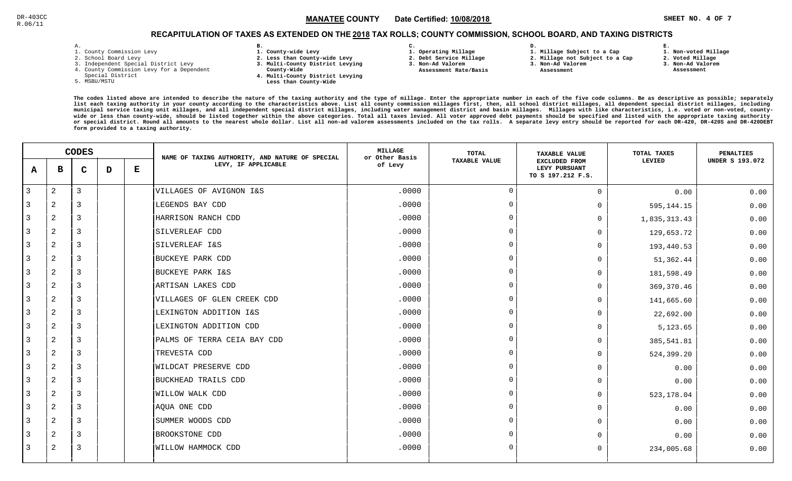# RECAPITULATION OF TAXES AS EXTENDED ON THE <u>2018</u> TAX ROLLS; COUNTY COMMISSION, SCHOOL BOARD, AND TAXING DISTRICTS

| ۰ |  |  |
|---|--|--|

- 1. County Commission Levy
- 2. School Board Levy
- 3. Independent Special District Levy
- 4. County Commission Levy for a Dependent
- Special District
- 5. MSBU/MSTU
- **B. 1. County-wide Levy**
- **2. Less than County-wide Levy**
- **3. Multi-County District Levying**
- **County-Wide** 
	- **4. Multi-County District Levying Less than County-Wide**
- **C. 3. Non-Ad Valorem**

**2. Debt Service Millage** 

 **Assessment Rate/Basis**

- **1. Operating Millage**
- **1. Millage Subject to a Cap**

**D.** 

- **2. Millage not Subject to a Cap**
- **3. Non-Ad Valorem**
	- **Assessment**

 **1. Non-voted Millage2. Voted Millage**

**E.**

- **3. Non-Ad Valorem**
- **Assessment**
- **The codes listed above are intended to describe the nature of the taxing authority and the type of millage. Enter the appropriate number in each of the five code columns. Be as descriptive as possible; separately list each taxing authority in your county according to the characteristics above. List all county commission millages first, then, all school district millages, all dependent special district millages, including municipal service taxing unit millages, and all independent special district millages, including water management district and basin millages. Millages with like characteristics, i.e. voted or non-voted, countywide or less than county-wide, should be listed together within the above categories. Total all taxes levied. All voter approved debt payments should be specified and listed with the appropriate taxing authority or special district. Round all amounts to the nearest whole dollar. List all non-ad valorem assessments included on the tax rolls. A separate levy entry should be reported for each DR-420, DR-420S and DR-420DEBTform provided to a taxing authority.**

|              | <b>CODES</b>   |   |   | NAME OF TAXING AUTHORITY, AND NATURE OF SPECIAL | MILLAGE<br>or Other Basis   | TOTAL   | <b>TAXABLE VALUE</b> | TOTAL TAXES                                                | <b>PENALTIES</b> |                 |
|--------------|----------------|---|---|-------------------------------------------------|-----------------------------|---------|----------------------|------------------------------------------------------------|------------------|-----------------|
| A            | $\mathbf{B}$   | C | D | Е                                               | LEVY, IF APPLICABLE         | of Levy | <b>TAXABLE VALUE</b> | <b>EXCLUDED FROM</b><br>LEVY PURSUANT<br>TO S 197.212 F.S. | LEVIED           | UNDER S 193.072 |
| $\mathbf{3}$ | $\overline{2}$ | 3 |   |                                                 | VILLAGES OF AVIGNON I&S     | .0000   | $\cap$               | $\Omega$                                                   | 0.00             | 0.00            |
| 3            | $\overline{2}$ | 3 |   |                                                 | LEGENDS BAY CDD             | .0000   | $\Omega$             | $\Omega$                                                   | 595,144.15       | 0.00            |
| 3            | 2              | 3 |   |                                                 | HARRISON RANCH CDD          | .0000   | $\Omega$             | $\Omega$                                                   | 1,835,313.43     | 0.00            |
| 3            | $\overline{2}$ | 3 |   |                                                 | SILVERLEAF CDD              | .0000   | $\cap$               | $\Omega$                                                   | 129,653.72       | 0.00            |
| $\mathbf{3}$ | $\overline{2}$ | 3 |   |                                                 | SILVERLEAF I&S              | .0000   | $\Omega$             | <sup>n</sup>                                               | 193,440.53       | 0.00            |
| 3            | 2              | 3 |   |                                                 | BUCKEYE PARK CDD            | .0000   | $\Omega$             | $\Omega$                                                   | 51,362.44        | 0.00            |
| 3            | $\overline{2}$ | 3 |   |                                                 | BUCKEYE PARK I&S            | .0000   | $\Omega$             | U                                                          | 181,598.49       | 0.00            |
| 3            | 2              | 3 |   |                                                 | ARTISAN LAKES CDD           | .0000   | - വ                  | $\Omega$                                                   | 369,370.46       | 0.00            |
| 3            | $\overline{2}$ | 3 |   |                                                 | VILLAGES OF GLEN CREEK CDD  | .0000   | $\cap$               | <sup>n</sup>                                               | 141,665.60       | 0.00            |
| 3            | 2              | 3 |   |                                                 | LEXINGTON ADDITION I&S      | .0000   | $\cap$               | $\Omega$                                                   | 22,692.00        | 0.00            |
| 3            | $\overline{2}$ | 3 |   |                                                 | LEXINGTON ADDITION CDD      | .0000   |                      | $\Omega$                                                   | 5,123.65         | 0.00            |
| 3            | $\overline{2}$ | 3 |   |                                                 | PALMS OF TERRA CEIA BAY CDD | .0000   | $\cap$               | $\Omega$                                                   | 385,541.81       | 0.00            |
| 3            | $\overline{2}$ | 3 |   |                                                 | TREVESTA CDD                | .0000   | $\Omega$             | 0                                                          | 524,399.20       | 0.00            |
| 3            | $\overline{2}$ | 3 |   |                                                 | <b>WILDCAT PRESERVE CDD</b> | .0000   | $\cap$               | $\Omega$                                                   | 0.00             | 0.00            |
| 3            | 2              | 3 |   |                                                 | BUCKHEAD TRAILS CDD         | .0000   | $\cap$               | $\Omega$                                                   | 0.00             | 0.00            |
| 3            | 2              | 3 |   |                                                 | <b>WILLOW WALK CDD</b>      | .0000   |                      | $\Omega$                                                   | 523,178.04       | 0.00            |
| 3            | $\overline{2}$ | 3 |   |                                                 | AQUA ONE CDD                | .0000   | $\cap$               | $\Omega$                                                   | 0.00             | 0.00            |
| 3            | $\overline{2}$ | 3 |   |                                                 | SUMMER WOODS CDD            | .0000   | $\cap$               | $\cap$                                                     | 0.00             | 0.00            |
| 3            | $\overline{a}$ | 3 |   |                                                 | BROOKSTONE CDD              | .0000   | $\Omega$             |                                                            | 0.00             | 0.00            |
| 3            | 2              | 3 |   |                                                 | WILLOW HAMMOCK CDD          | .0000   | $\Omega$             | 0                                                          | 234,005.68       | 0.00            |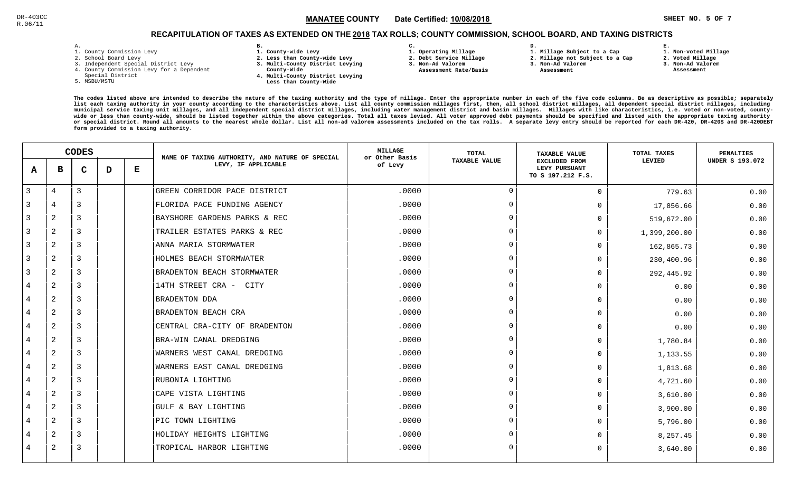# RECAPITULATION OF TAXES AS EXTENDED ON THE <u>2018</u> TAX ROLLS; COUNTY COMMISSION, SCHOOL BOARD, AND TAXING DISTRICTS

| ۰ |  |  |
|---|--|--|

- 1. County Commission Levy
- 2. School Board Levy
- 3. Independent Special District Levy
- 4. County Commission Levy for a Dependent
- Special District
- 5. MSBU/MSTU
- **B. 1. County-wide Levy**
- **2. Less than County-wide Levy**
- **3. Multi-County District Levying**
- **County-Wide** 
	- **4. Multi-County District Levying Less than County-Wide**
- **C.**
- **1. Operating Millage**
- **2. Debt Service Millage 3. Non-Ad Valorem**
- **Assessment Rate/Basis**
- **2. Millage not Subject to a Cap3. Non-Ad Valorem**

**D.** 

 **Assessment** 

**1. Millage Subject to a Cap**

- 
- **2. Voted Millage3. Non-Ad Valorem**

**E.**

 **Assessment**

**1. Non-voted Millage**

|                | <b>CODES</b>   |              |   | NAME OF TAXING AUTHORITY, AND NATURE OF SPECIAL | <b>MILLAGE</b><br>or Other Basis | <b>TOTAL</b> | <b>TAXABLE VALUE</b> | TOTAL TAXES                                                | <b>PENALTIES</b> |                        |
|----------------|----------------|--------------|---|-------------------------------------------------|----------------------------------|--------------|----------------------|------------------------------------------------------------|------------------|------------------------|
| A              | в              | $\mathbf{C}$ | D | Е                                               | LEVY, IF APPLICABLE              | of Levy      | <b>TAXABLE VALUE</b> | <b>EXCLUDED FROM</b><br>LEVY PURSUANT<br>TO S 197.212 F.S. | LEVIED           | <b>UNDER S 193.072</b> |
| 3              | 4              | 3            |   |                                                 | GREEN CORRIDOR PACE DISTRICT     | .0000        | $\Omega$             | $\mathbf 0$                                                | 779.63           | 0.00                   |
| 3              | 4              | 3            |   |                                                 | FLORIDA PACE FUNDING AGENCY      | .0000        | $\Omega$             | $\Omega$                                                   | 17,856.66        | 0.00                   |
| 3              | $\overline{2}$ | 3            |   |                                                 | BAYSHORE GARDENS PARKS & REC     | .0000        | - 0                  | $\Omega$                                                   | 519,672.00       | 0.00                   |
| 3              | 2              | 3            |   |                                                 | TRAILER ESTATES PARKS & REC      | .0000        | $\Omega$             | $\Omega$                                                   | 1,399,200.00     | 0.00                   |
| 3              | 2              | 3            |   |                                                 | ANNA MARIA STORMWATER            | .0000        | $\cap$               | $\Omega$                                                   | 162,865.73       | 0.00                   |
| 3              | 2              | 3            |   |                                                 | HOLMES BEACH STORMWATER          | .0000        | $\Omega$             | $\Omega$                                                   | 230,400.96       | 0.00                   |
| 3              | 2              | 3            |   |                                                 | BRADENTON BEACH STORMWATER       | .0000        | $\Omega$             | $\Omega$                                                   | 292,445.92       | 0.00                   |
| 4              | 2              | 3            |   |                                                 | 14TH STREET CRA - CITY           | .0000        |                      | $\mathbf 0$                                                | 0.00             | 0.00                   |
|                | $\overline{2}$ | 3            |   |                                                 | <b>BRADENTON DDA</b>             | .0000        | $\cap$               | $\mathbf 0$                                                | 0.00             | 0.00                   |
| 4              | $\overline{2}$ | 3            |   |                                                 | BRADENTON BEACH CRA              | .0000        | - 0                  | $\mathbf 0$                                                | 0.00             | 0.00                   |
| 4              | 2              | 3            |   |                                                 | CENTRAL CRA-CITY OF BRADENTON    | .0000        | $\Omega$             | $\Omega$                                                   | 0.00             | 0.00                   |
| 4              | 2              | 3            |   |                                                 | BRA-WIN CANAL DREDGING           | .0000        | $\Omega$             | $\Omega$                                                   | 1,780.84         | 0.00                   |
| 4              | 2              | 3            |   |                                                 | WARNERS WEST CANAL DREDGING      | .0000        | $\Omega$             | 0                                                          | 1,133.55         | 0.00                   |
| 4              | 2              | 3            |   |                                                 | WARNERS EAST CANAL DREDGING      | .0000        | $\cap$               | $\Omega$                                                   | 1,813.68         | 0.00                   |
| $\overline{4}$ | 2              | 3            |   |                                                 | RUBONIA LIGHTING                 | .0000        |                      | $\mathbf 0$                                                | 4,721.60         | 0.00                   |
| 4              | $\overline{2}$ | 3            |   |                                                 | CAPE VISTA LIGHTING              | .0000        | $\Omega$             | $\mathbf 0$                                                | 3,610.00         | 0.00                   |
| 4              | 2              | 3            |   |                                                 | GULF & BAY LIGHTING              | .0000        | - റ                  | $\mathbf 0$                                                | 3,900.00         | 0.00                   |
| 4              | 2              | 3            |   |                                                 | PIC TOWN LIGHTING                | .0000        | $\cap$               | $\Omega$                                                   | 5,796.00         | 0.00                   |
| 4              | 2              | 3            |   |                                                 | HOLIDAY HEIGHTS LIGHTING         | .0000        | $\Omega$             | $\Omega$                                                   | 8,257.45         | 0.00                   |
| 4              | 2              | 3            |   |                                                 | TROPICAL HARBOR LIGHTING         | .0000        | $\Omega$             | $\Omega$                                                   | 3,640.00         | 0.00                   |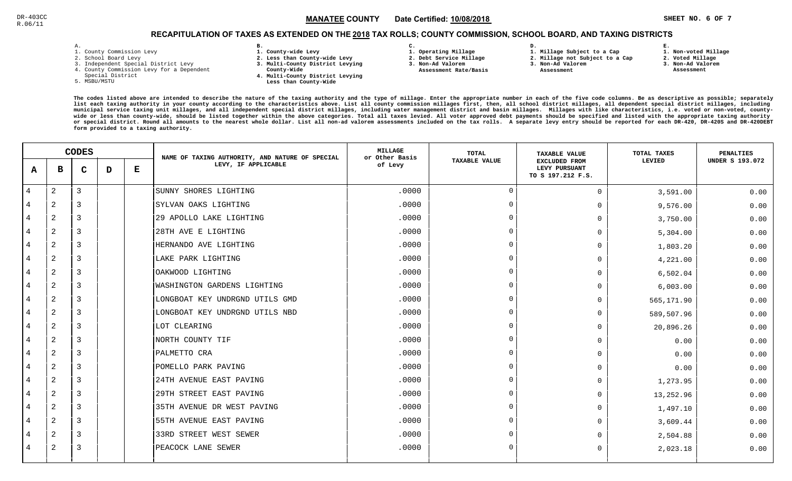**1. Non-voted Millage2. Voted Millage**

# RECAPITULATION OF TAXES AS EXTENDED ON THE <u>2018</u> TAX ROLLS; COUNTY COMMISSION, SCHOOL BOARD, AND TAXING DISTRICTS

| - | ٠ |  |  |
|---|---|--|--|

- 1. County Commission Levy
- 2. School Board Levy
- 3. Independent Special District Levy
- 4. County Commission Levy for a Dependent
- Special District
- 5. MSBU/MSTU
- **B. 1. County-wide Levy**
- **2. Less than County-wide Levy**
- **3. Multi-County District Levying**
- **County-Wide** 
	- **4. Multi-County District Levying Less than County-Wide**

**C.** 

**3. Non-Ad Valorem Assessment Rate/Basis**

- **1. Operating Millage 2. Debt Service Millage**
- **D. 1. Millage Subject to a Cap**
	- **2. Millage not Subject to a Cap3. Non-Ad Valorem**
	- **Assessment**
- 
- **3. Non-Ad Valorem**

**E.**

 **Assessment**

|                |                | <b>CODES</b>   |   |   | NAME OF TAXING AUTHORITY, AND NATURE OF SPECIAL | <b>MILLAGE</b><br>or Other Basis | <b>TOTAL</b>         | <b>TAXABLE VALUE</b>                                       | TOTAL TAXES | <b>PENALTIES</b>       |
|----------------|----------------|----------------|---|---|-------------------------------------------------|----------------------------------|----------------------|------------------------------------------------------------|-------------|------------------------|
| A              | в              | $\mathbf C$    | D | Е | LEVY, IF APPLICABLE                             | of Levy                          | <b>TAXABLE VALUE</b> | <b>EXCLUDED FROM</b><br>LEVY PURSUANT<br>TO S 197.212 F.S. | LEVIED      | <b>UNDER S 193.072</b> |
| $\overline{4}$ | $\overline{c}$ | $\overline{3}$ |   |   | SUNNY SHORES LIGHTING                           | .0000                            | $\mathbf 0$          | $\mathbf 0$                                                | 3,591.00    | 0.00                   |
| 4              | 2              | 3              |   |   | SYLVAN OAKS LIGHTING                            | .0000                            | $\Omega$             | $\mathbf 0$                                                | 9,576.00    | 0.00                   |
| 4              | 2              | 3              |   |   | 29 APOLLO LAKE LIGHTING                         | .0000                            | $\overline{0}$       | $\mathbf 0$                                                | 3,750.00    | 0.00                   |
| 4              | 2              | $\overline{3}$ |   |   | 28TH AVE E LIGHTING                             | .0000                            | $\Omega$             | $\Omega$                                                   | 5,304.00    | 0.00                   |
| 4              | 2              | $\overline{3}$ |   |   | HERNANDO AVE LIGHTING                           | .0000                            | $\overline{0}$       | 0                                                          | 1,803.20    | 0.00                   |
| 4              | $\overline{2}$ | 3              |   |   | LAKE PARK LIGHTING                              | .0000                            | $\Omega$             | $\mathbf 0$                                                | 4,221.00    | 0.00                   |
| 4              | $\overline{c}$ | 3              |   |   | OAKWOOD LIGHTING                                | .0000                            | $\Omega$             | $\Omega$                                                   | 6,502.04    | 0.00                   |
| 4              | $\overline{c}$ | 3              |   |   | WASHINGTON GARDENS LIGHTING                     | .0000                            | $\Omega$             | $\mathbf 0$                                                | 6,003.00    | 0.00                   |
| 4              | $\overline{2}$ | 3              |   |   | LONGBOAT KEY UNDRGND UTILS GMD                  | .0000                            | $\Omega$             | $\mathbf 0$                                                | 565,171.90  | 0.00                   |
| 4              | 2              | 3              |   |   | LONGBOAT KEY UNDRGND UTILS NBD                  | .0000                            | $\overline{0}$       | $\mathbf 0$                                                | 589,507.96  | 0.00                   |
| 4              | 2              | $\overline{3}$ |   |   | LOT CLEARING                                    | .0000                            | $\Omega$             | $\mathbf 0$                                                | 20,896.26   | 0.00                   |
| 4              | 2              | $\overline{3}$ |   |   | NORTH COUNTY TIF                                | .0000                            | $\mathbf 0$          | $\mathbf 0$                                                | 0.00        | 0.00                   |
| 4              | 2              | 3              |   |   | PALMETTO CRA                                    | .0000                            | $\Omega$             | $\mathbf 0$                                                | 0.00        | 0.00                   |
| 4              | $\overline{c}$ | 3              |   |   | POMELLO PARK PAVING                             | .0000                            | $\Omega$             | $\mathbf 0$                                                | 0.00        | 0.00                   |
| 4              | 2              | 3              |   |   | 24TH AVENUE EAST PAVING                         | .0000                            | $\Omega$             | $\mathbf 0$                                                | 1,273.95    | 0.00                   |
| 4              | $\overline{2}$ | 3              |   |   | 29TH STREET EAST PAVING                         | .0000                            | $\overline{0}$       | 0                                                          | 13,252.96   | 0.00                   |
| 4              | 2              | 3              |   |   | 35TH AVENUE DR WEST PAVING                      | .0000                            | $\Omega$             | $\mathbf 0$                                                | 1,497.10    | 0.00                   |
| 4              | $\overline{a}$ | $\overline{3}$ |   |   | 55TH AVENUE EAST PAVING                         | .0000                            | $\Omega$             | $\mathbf 0$                                                | 3,609.44    | 0.00                   |
| 4              | 2              | $\overline{3}$ |   |   | 33RD STREET WEST SEWER                          | .0000                            | $\overline{0}$       | $\mathbf 0$                                                | 2,504.88    | 0.00                   |
| 4              | 2              | 3              |   |   | PEACOCK LANE SEWER                              | .0000                            | $\Omega$             | $\mathbf 0$                                                | 2,023.18    | 0.00                   |